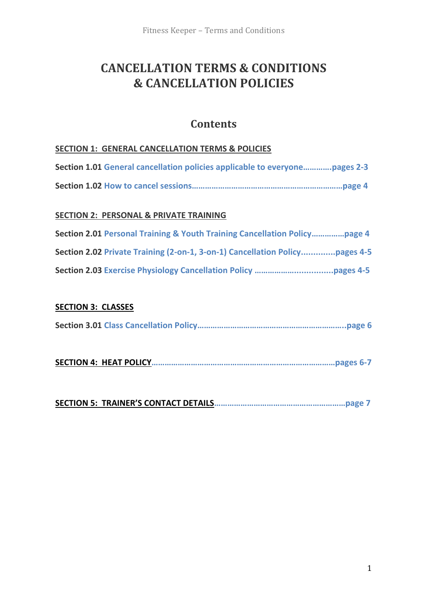# **CANCELLATION TERMS & CONDITIONS & CANCELLATION POLICIES**

## **Contents**

#### **SECTION 1: GENERAL CANCELLATION TERMS & POLICIES**

| Section 1.01 General cancellation policies applicable to everyonepages 2-3 |  |
|----------------------------------------------------------------------------|--|
|                                                                            |  |

#### **SECTION 2: PERSONAL & PRIVATE TRAINING**

| Section 2.01 Personal Training & Youth Training Cancellation Policypage 4   |  |
|-----------------------------------------------------------------------------|--|
| Section 2.02 Private Training (2-on-1, 3-on-1) Cancellation Policypages 4-5 |  |
|                                                                             |  |

#### **SECTION 3: CLASSES**

|--|--|--|

**SECTION 4: HEAT POLICY…………………………………………………………………………pages 6-7**

**SECTION 5: TRAINER'S CONTACT DETAILS……………………………………………………page 7**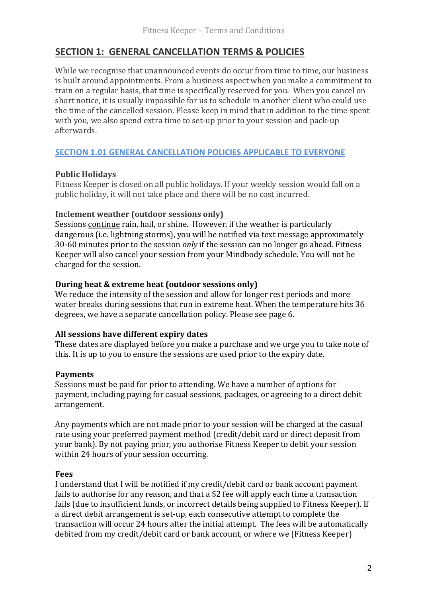## **SECTION 1: GENERAL CANCELLATION TERMS & POLICIES**

While we recognise that unannounced events do occur from time to time, our business is built around appointments. From a business aspect when you make a commitment to train on a regular basis, that time is specifically reserved for you. When you cancel on short notice, it is usually impossible for us to schedule in another client who could use the time of the cancelled session. Please keep in mind that in addition to the time spent with you, we also spend extra time to set-up prior to your session and pack-up afterwards.

#### **SECTION 1.01 GENERAL CANCELLATION POLICIES APPLICABLE TO EVERYONE**

#### **Public Holidays**

Fitness Keeper is closed on all public holidays. If your weekly session would fall on a public holiday, it will not take place and there will be no cost incurred.

#### **Inclement weather (outdoor sessions only)**

Sessions continue rain, hail, or shine. However, if the weather is particularly dangerous (i.e. lightning storms), you will be notified via text message approximately 30-60 minutes prior to the session *only* if the session can no longer go ahead. Fitness Keeper will also cancel your session from your Mindbody schedule. You will not be charged for the session.

#### **During heat & extreme heat (outdoor sessions only)**

We reduce the intensity of the session and allow for longer rest periods and more water breaks during sessions that run in extreme heat. When the temperature hits 36 degrees, we have a separate cancellation policy. Please see page 6.

#### **All sessions have different expiry dates**

These dates are displayed before you make a purchase and we urge you to take note of this. It is up to you to ensure the sessions are used prior to the expiry date.

#### **Payments**

Sessions must be paid for prior to attending. We have a number of options for payment, including paying for casual sessions, packages, or agreeing to a direct debit arrangement.

Any payments which are not made prior to your session will be charged at the casual rate using your preferred payment method (credit/debit card or direct deposit from your bank). By not paying prior, you authorise Fitness Keeper to debit your session within 24 hours of your session occurring.

#### **Fees**

I understand that I will be notified if my credit/debit card or bank account payment fails to authorise for any reason, and that a \$2 fee will apply each time a transaction fails (due to insufficient funds, or incorrect details being supplied to Fitness Keeper). If a direct debit arrangement is set-up, each consecutive attempt to complete the transaction will occur 24 hours after the initial attempt. The fees will be automatically debited from my credit/debit card or bank account, or where we (Fitness Keeper)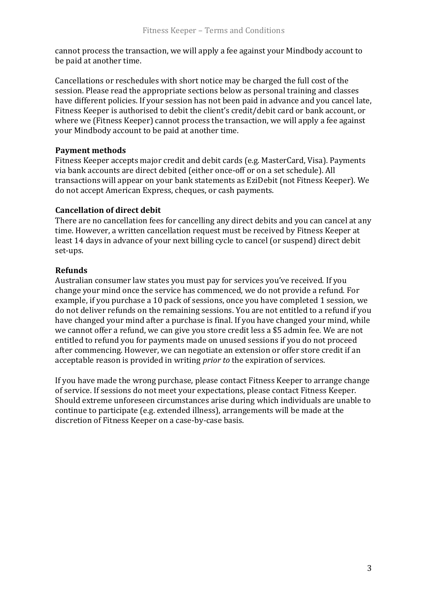cannot process the transaction, we will apply a fee against your Mindbody account to be paid at another time.

Cancellations or reschedules with short notice may be charged the full cost of the session. Please read the appropriate sections below as personal training and classes have different policies. If your session has not been paid in advance and you cancel late, Fitness Keeper is authorised to debit the client's credit/debit card or bank account, or where we (Fitness Keeper) cannot process the transaction, we will apply a fee against your Mindbody account to be paid at another time.

#### **Payment methods**

Fitness Keeper accepts major credit and debit cards (e.g. MasterCard, Visa). Payments via bank accounts are direct debited (either once-off or on a set schedule). All transactions will appear on your bank statements as EziDebit (not Fitness Keeper). We do not accept American Express, cheques, or cash payments.

#### **Cancellation of direct debit**

There are no cancellation fees for cancelling any direct debits and you can cancel at any time. However, a written cancellation request must be received by Fitness Keeper at least 14 days in advance of your next billing cycle to cancel (or suspend) direct debit set-ups.

#### **Refunds**

Australian consumer law states you must pay for services you've received. If you change your mind once the service has commenced, we do not provide a refund. For example, if you purchase a 10 pack of sessions, once you have completed 1 session, we do not deliver refunds on the remaining sessions. You are not entitled to a refund if you have changed your mind after a purchase is final. If you have changed your mind, while we cannot offer a refund, we can give you store credit less a \$5 admin fee. We are not entitled to refund you for payments made on unused sessions if you do not proceed after commencing. However, we can negotiate an extension or offer store credit if an acceptable reason is provided in writing *prior to* the expiration of services.

If you have made the wrong purchase, please contact Fitness Keeper to arrange change of service. If sessions do not meet your expectations, please contact Fitness Keeper. Should extreme unforeseen circumstances arise during which individuals are unable to continue to participate (e.g. extended illness), arrangements will be made at the discretion of Fitness Keeper on a case-by-case basis.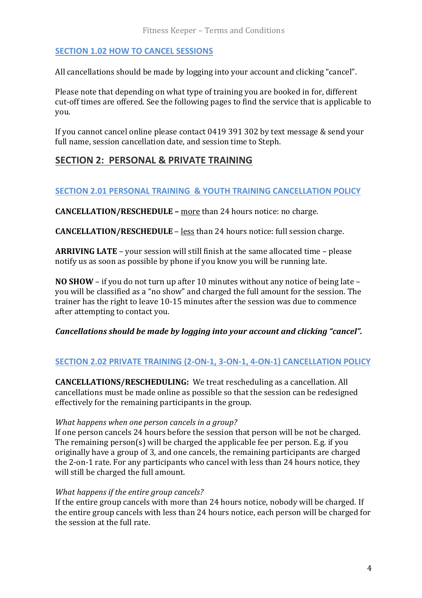#### **SECTION 1.02 HOW TO CANCEL SESSIONS**

All cancellations should be made by logging into your account and clicking "cancel".

Please note that depending on what type of training you are booked in for, different cut-off times are offered. See the following pages to find the service that is applicable to you.

If you cannot cancel online please contact 0419 391 302 by text message & send your full name, session cancellation date, and session time to Steph.

## **SECTION 2: PERSONAL & PRIVATE TRAINING**

#### **SECTION 2.01 PERSONAL TRAINING & YOUTH TRAINING CANCELLATION POLICY**

**CANCELLATION/RESCHEDULE –** more than 24 hours notice: no charge.

**CANCELLATION/RESCHEDULE** – less than 24 hours notice: full session charge.

**ARRIVING LATE** – your session will still finish at the same allocated time – please notify us as soon as possible by phone if you know you will be running late.

**NO SHOW** – if you do not turn up after 10 minutes without any notice of being late – you will be classified as a "no show" and charged the full amount for the session. The trainer has the right to leave 10-15 minutes after the session was due to commence after attempting to contact you.

#### *Cancellations should be made by logging into your account and clicking "cancel".*

#### **SECTION 2.02 PRIVATE TRAINING (2-ON-1, 3-ON-1, 4-ON-1) CANCELLATION POLICY**

**CANCELLATIONS/RESCHEDULING:** We treat rescheduling as a cancellation. All cancellations must be made online as possible so that the session can be redesigned effectively for the remaining participants in the group.

#### *What happens when one person cancels in a group?*

If one person cancels 24 hours before the session that person will be not be charged. The remaining person(s) will be charged the applicable fee per person. E.g. if you originally have a group of 3, and one cancels, the remaining participants are charged the 2-on-1 rate. For any participants who cancel with less than 24 hours notice, they will still be charged the full amount.

#### *What happens if the entire group cancels?*

If the entire group cancels with more than 24 hours notice, nobody will be charged. If the entire group cancels with less than 24 hours notice, each person will be charged for the session at the full rate.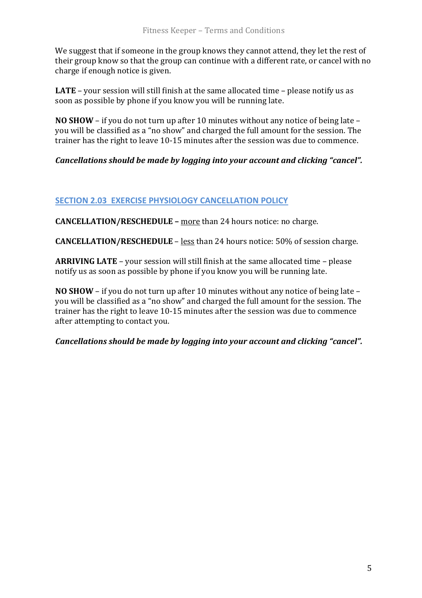We suggest that if someone in the group knows they cannot attend, they let the rest of their group know so that the group can continue with a different rate, or cancel with no charge if enough notice is given.

**LATE** – your session will still finish at the same allocated time – please notify us as soon as possible by phone if you know you will be running late.

**NO SHOW** – if you do not turn up after 10 minutes without any notice of being late – you will be classified as a "no show" and charged the full amount for the session. The trainer has the right to leave 10-15 minutes after the session was due to commence.

#### *Cancellations should be made by logging into your account and clicking "cancel".*

#### **SECTION 2.03 EXERCISE PHYSIOLOGY CANCELLATION POLICY**

**CANCELLATION/RESCHEDULE –** more than 24 hours notice: no charge.

**CANCELLATION/RESCHEDULE** – less than 24 hours notice: 50% of session charge.

**ARRIVING LATE** – your session will still finish at the same allocated time – please notify us as soon as possible by phone if you know you will be running late.

**NO SHOW** – if you do not turn up after 10 minutes without any notice of being late – you will be classified as a "no show" and charged the full amount for the session. The trainer has the right to leave 10-15 minutes after the session was due to commence after attempting to contact you.

*Cancellations should be made by logging into your account and clicking "cancel".*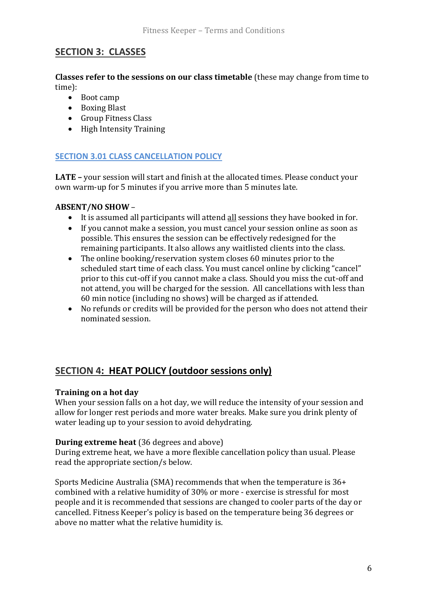## **SECTION 3: CLASSES**

**Classes refer to the sessions on our class timetable** (these may change from time to time):

- Boot camp
- Boxing Blast
- Group Fitness Class
- High Intensity Training

## **SECTION 3.01 CLASS CANCELLATION POLICY**

**LATE –** your session will start and finish at the allocated times. Please conduct your own warm-up for 5 minutes if you arrive more than 5 minutes late.

#### **ABSENT/NO SHOW** –

- It is assumed all participants will attend all sessions they have booked in for.
- If you cannot make a session, you must cancel your session online as soon as possible. This ensures the session can be effectively redesigned for the remaining participants. It also allows any waitlisted clients into the class.
- The online booking/reservation system closes 60 minutes prior to the scheduled start time of each class. You must cancel online by clicking "cancel" prior to this cut-off if you cannot make a class. Should you miss the cut-off and not attend, you will be charged for the session. All cancellations with less than 60 min notice (including no shows) will be charged as if attended.
- No refunds or credits will be provided for the person who does not attend their nominated session.

## **SECTION 4: HEAT POLICY (outdoor sessions only)**

#### **Training on a hot day**

When your session falls on a hot day, we will reduce the intensity of your session and allow for longer rest periods and more water breaks. Make sure you drink plenty of water leading up to your session to avoid dehydrating.

#### **During extreme heat** (36 degrees and above)

During extreme heat, we have a more flexible cancellation policy than usual. Please read the appropriate section/s below.

Sports Medicine Australia (SMA) recommends that when the temperature is 36+ combined with a relative humidity of 30% or more - exercise is stressful for most people and it is recommended that sessions are changed to cooler parts of the day or cancelled. Fitness Keeper's policy is based on the temperature being 36 degrees or above no matter what the relative humidity is.